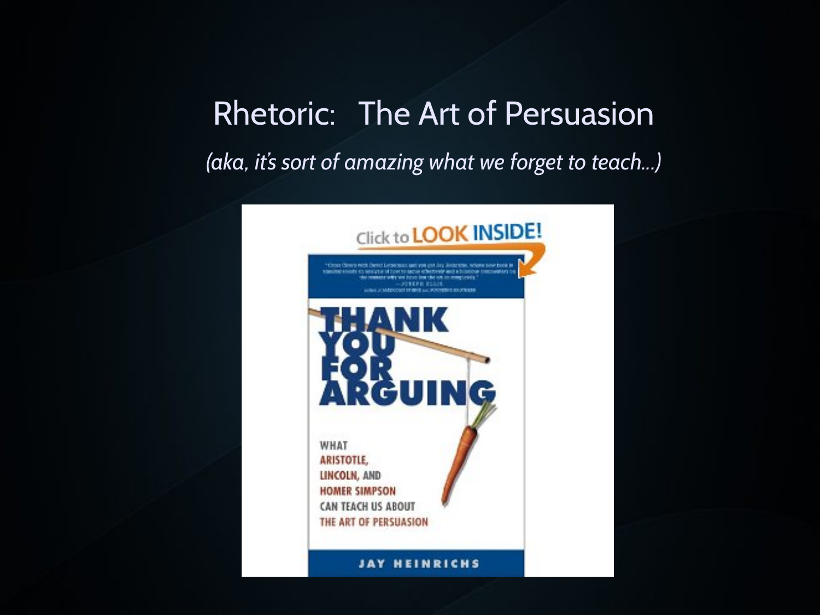*(aka, it's sort of amazing what we forget to teach...)*

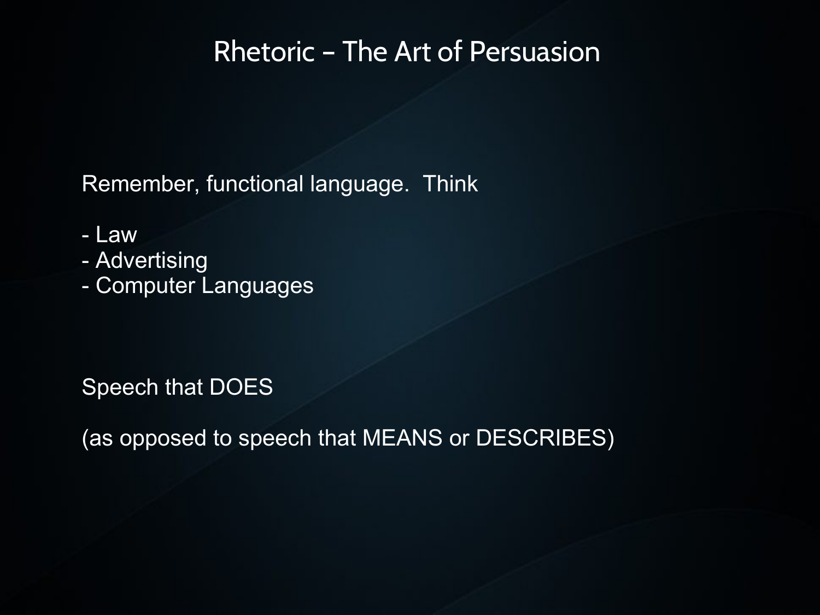Remember, functional language. Think

- Law
- Advertising
- Computer Languages

Speech that DOES

(as opposed to speech that MEANS or DESCRIBES)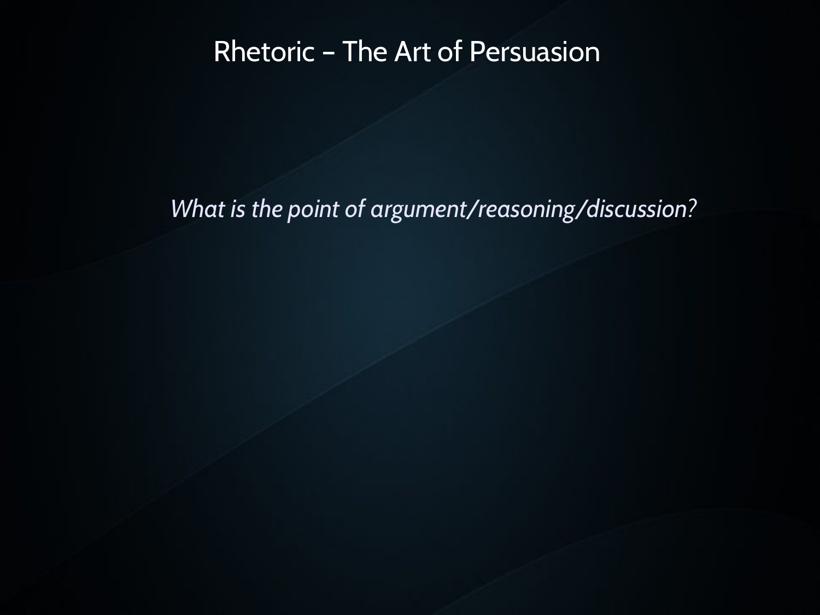#### *What is the point of argument/reasoning/discussion?*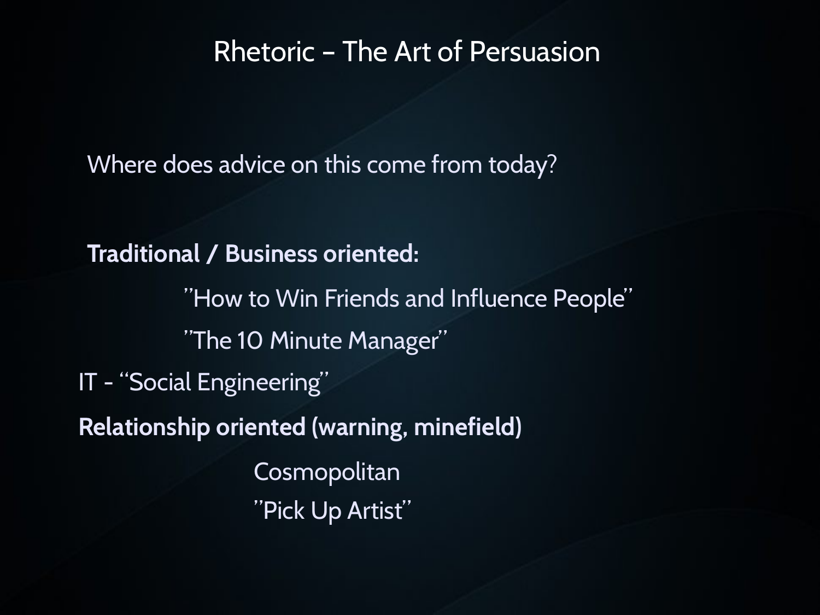Where does advice on this come from today?

**Traditional / Business oriented:** "How to Win Friends and Influence People" "The 10 Minute Manager" IT - "Social Engineering" **Relationship oriented (warning, minefield) Cosmopolitan** "Pick Up Artist"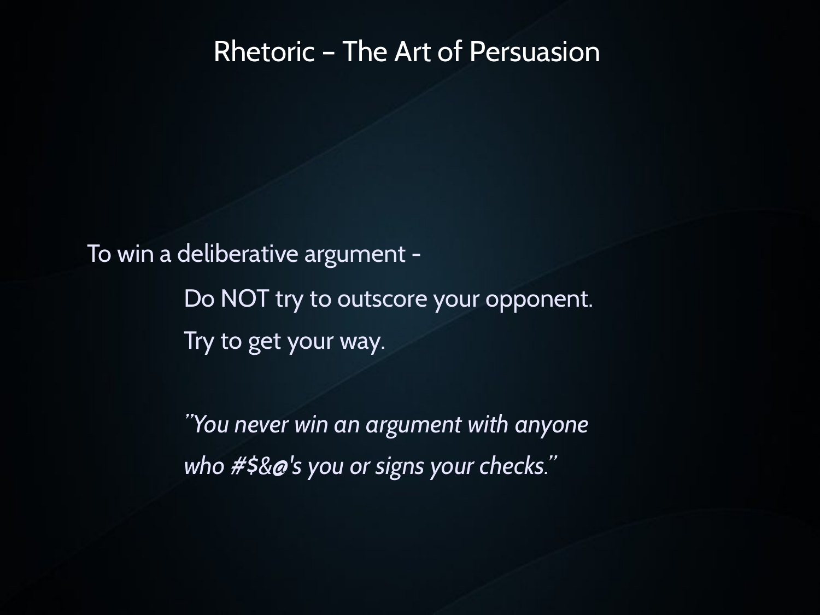To win a deliberative argument -

Do NOT try to outscore your opponent. Try to get your way.

*"You never win an argument with anyone who #\$&@'s you or signs your checks."*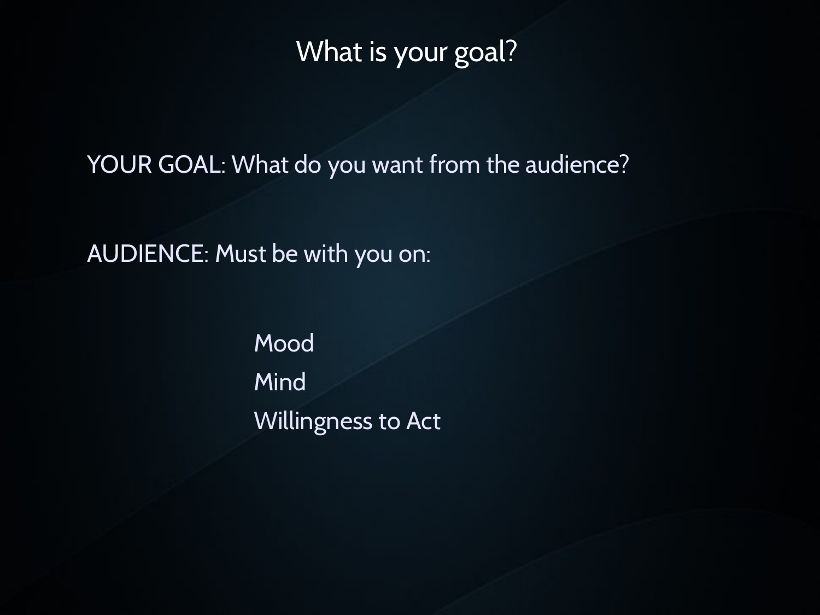#### What is your goal?

YOUR GOAL: What do you want from the audience?

AUDIENCE: Must be with you on:

Mood Mind Willingness to Act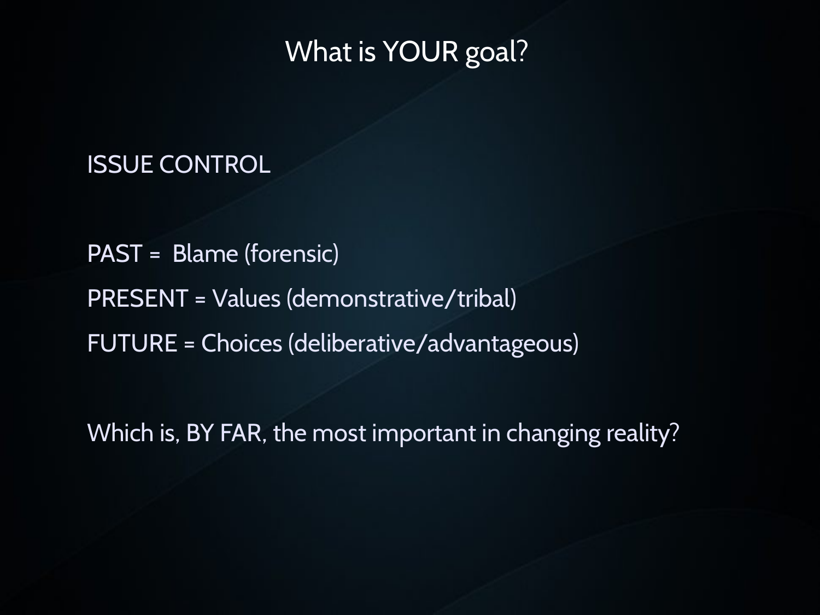#### What is YOUR goal?

#### ISSUE CONTROL

PAST = Blame (forensic) PRESENT = Values (demonstrative/tribal) FUTURE = Choices (deliberative/advantageous)

Which is, BY FAR, the most important in changing reality?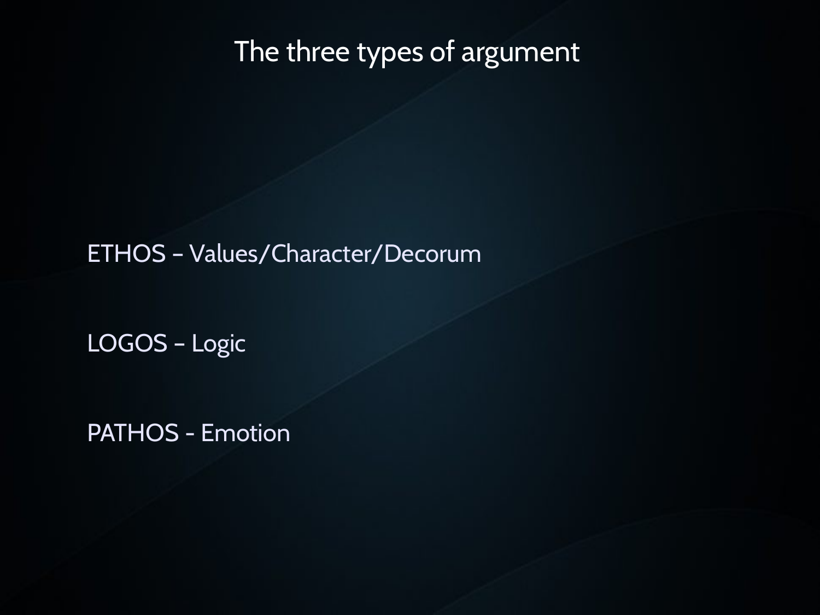#### The three types of argument

ETHOS – Values/Character/Decorum

LOGOS – Logic

PATHOS - Emotion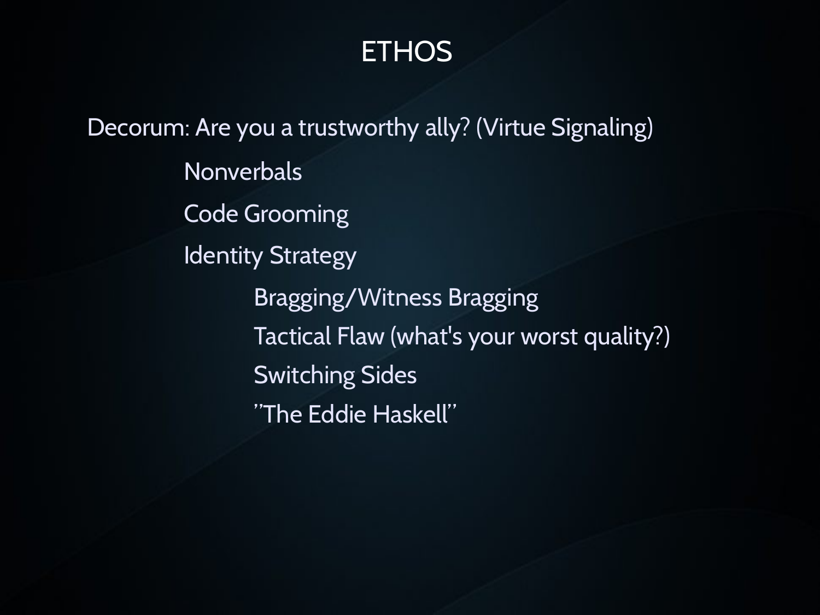## **ETHOS**

Decorum: Are you a trustworthy ally? (Virtue Signaling) Nonverbals Code Grooming Identity Strategy Bragging/Witness Bragging Tactical Flaw (what's your worst quality?) Switching Sides "The Eddie Haskell"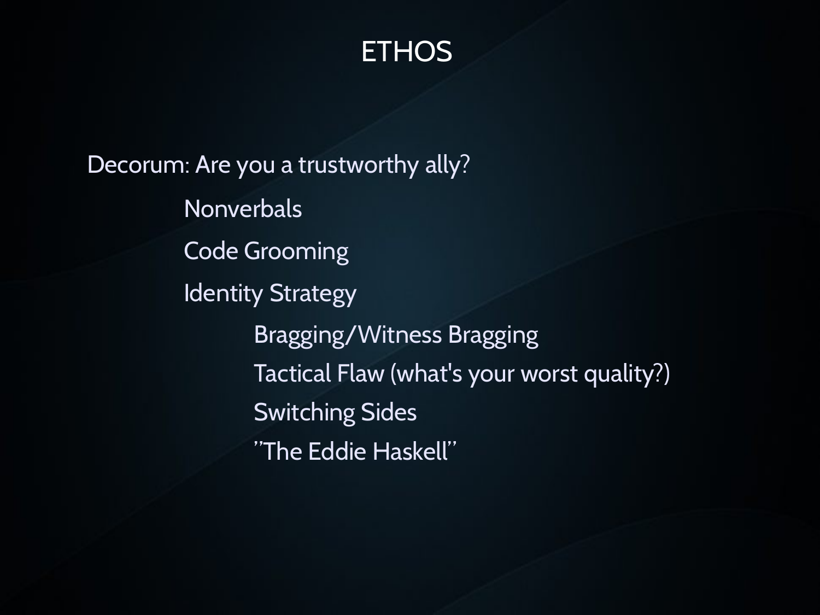## **ETHOS**

Decorum: Are you a trustworthy ally? **Nonverbals** Code Grooming Identity Strategy Bragging/Witness Bragging Tactical Flaw (what's your worst quality?) Switching Sides "The Eddie Haskell"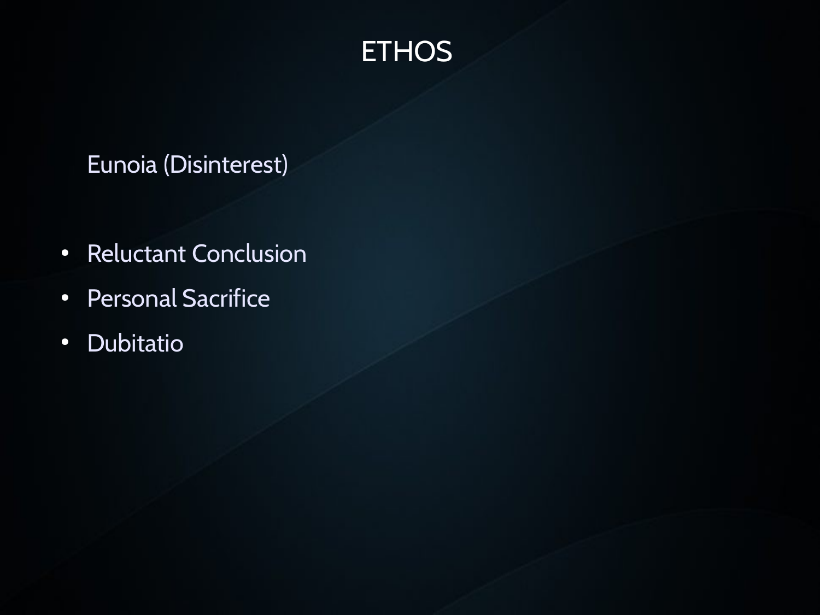## **ETHOS**

#### Eunoia (Disinterest)

- Reluctant Conclusion
- Personal Sacrifice
- Dubitatio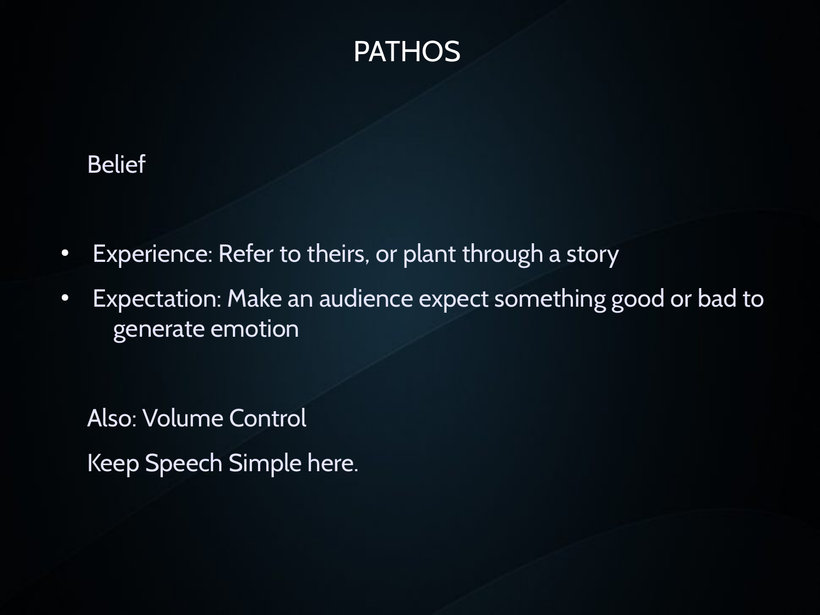

#### Belief

- Experience: Refer to theirs, or plant through a story
- Expectation: Make an audience expect something good or bad to generate emotion

Also: Volume Control Keep Speech Simple here.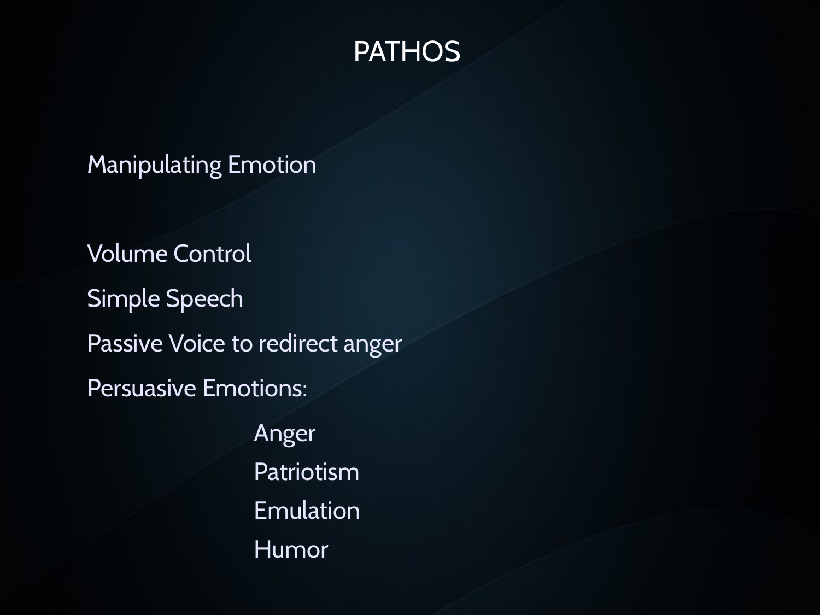#### **PATHOS**

Manipulating Emotion

Volume Control Simple Speech Passive Voice to redirect anger Persuasive Emotions: Anger Patriotism

Emulation Humor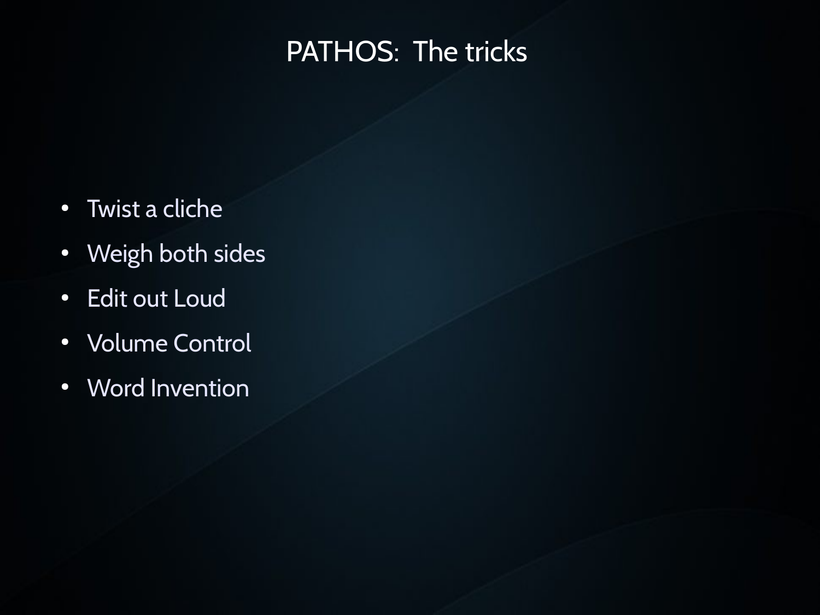## PATHOS: The tricks

- Twist a cliche
- Weigh both sides
- Edit out Loud
- Volume Control
- Word Invention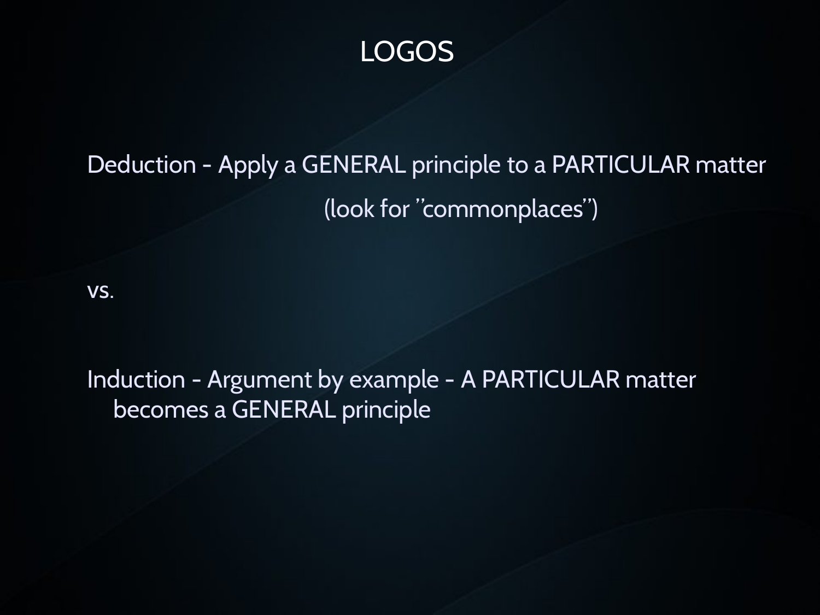#### LOGOS

# Deduction - Apply a GENERAL principle to a PARTICULAR matter (look for "commonplaces")

vs.

Induction - Argument by example - A PARTICULAR matter becomes a GENERAL principle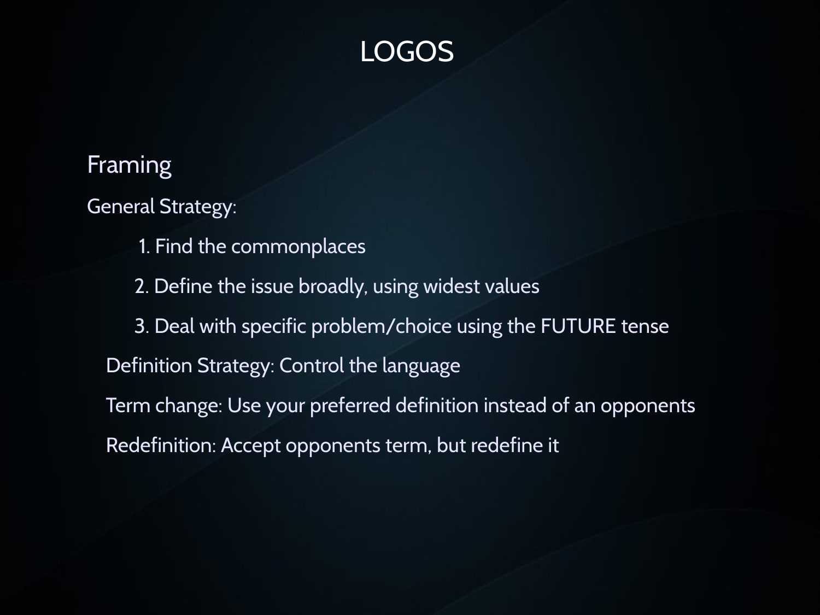## LOGOS

#### Framing

General Strategy:

- 1. Find the commonplaces
- 2. Define the issue broadly, using widest values
- 3. Deal with specific problem/choice using the FUTURE tense
- Definition Strategy: Control the language
- Term change: Use your preferred definition instead of an opponents Redefinition: Accept opponents term, but redefine it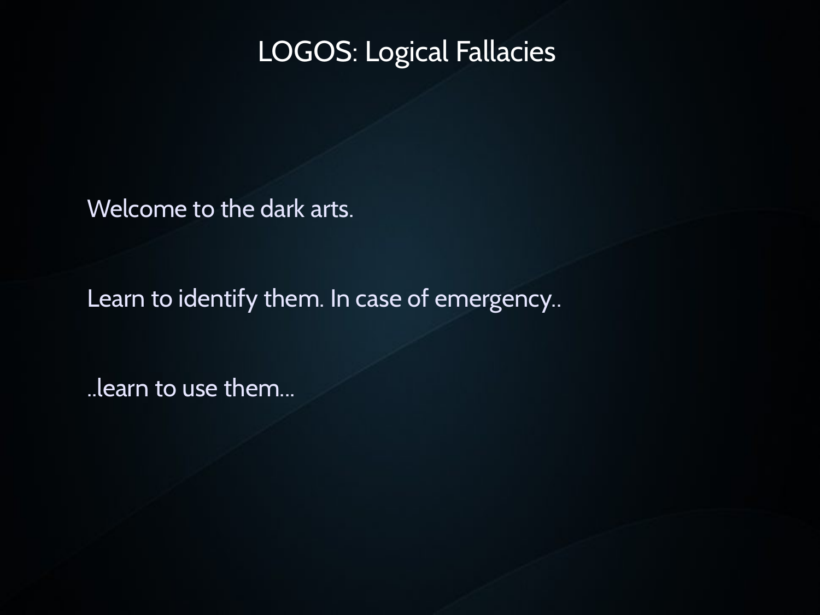Welcome to the dark arts.

Learn to identify them. In case of emergency..

..learn to use them...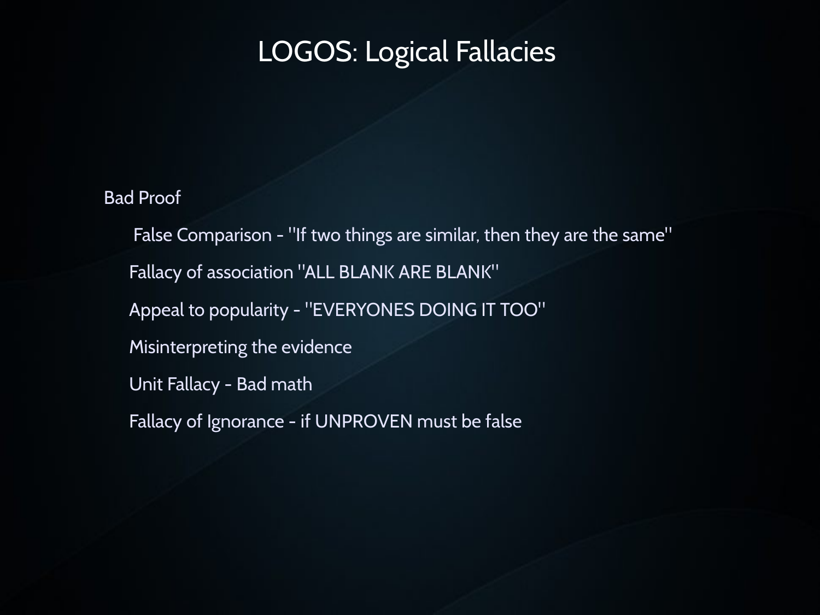# Bad Proof False Comparison - "If two things are similar, then they are the same" Fallacy of association "ALL BLANK ARE BLANK" Appeal to popularity - "EVERYONES DOING IT TOO" Misinterpreting the evidence Unit Fallacy - Bad math Fallacy of Ignorance - if UNPROVEN must be false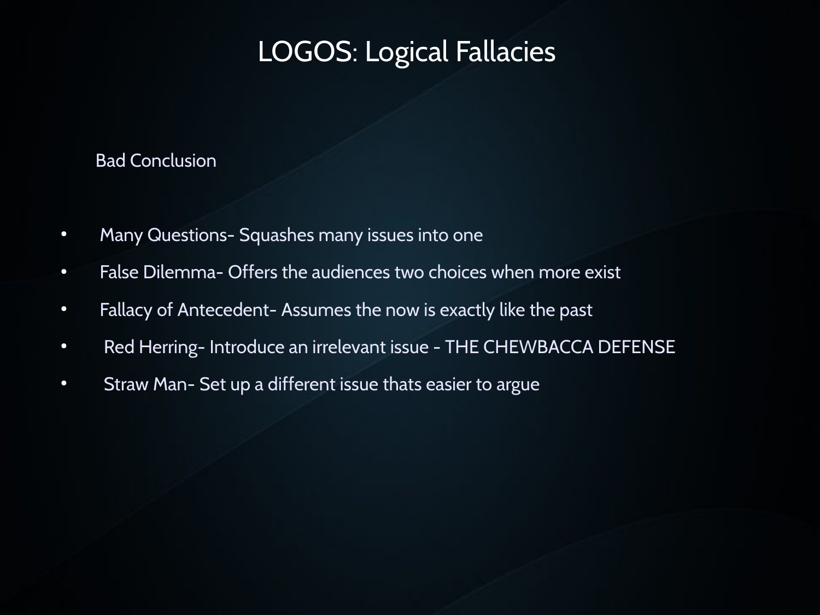#### Bad Conclusion

- Many Questions- Squashes many issues into one
- False Dilemma- Offers the audiences two choices when more exist
- Fallacy of Antecedent- Assumes the now is exactly like the past
- Red Herring- Introduce an irrelevant issue THE CHEWBACCA DEFENSE
- Straw Man- Set up a different issue thats easier to argue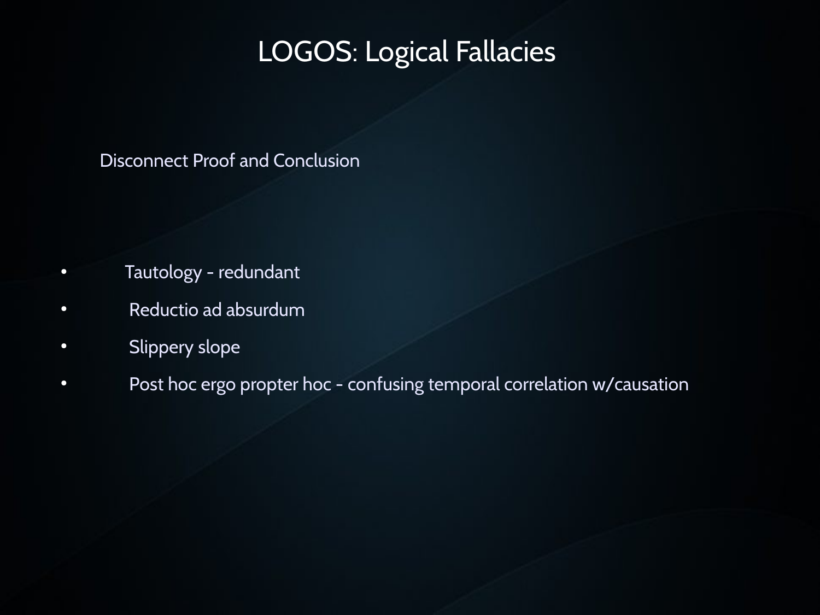#### Disconnect Proof and Conclusion

- Tautology redundant
- Reductio ad absurdum
- Slippery slope
- Post hoc ergo propter hoc confusing temporal correlation w/causation